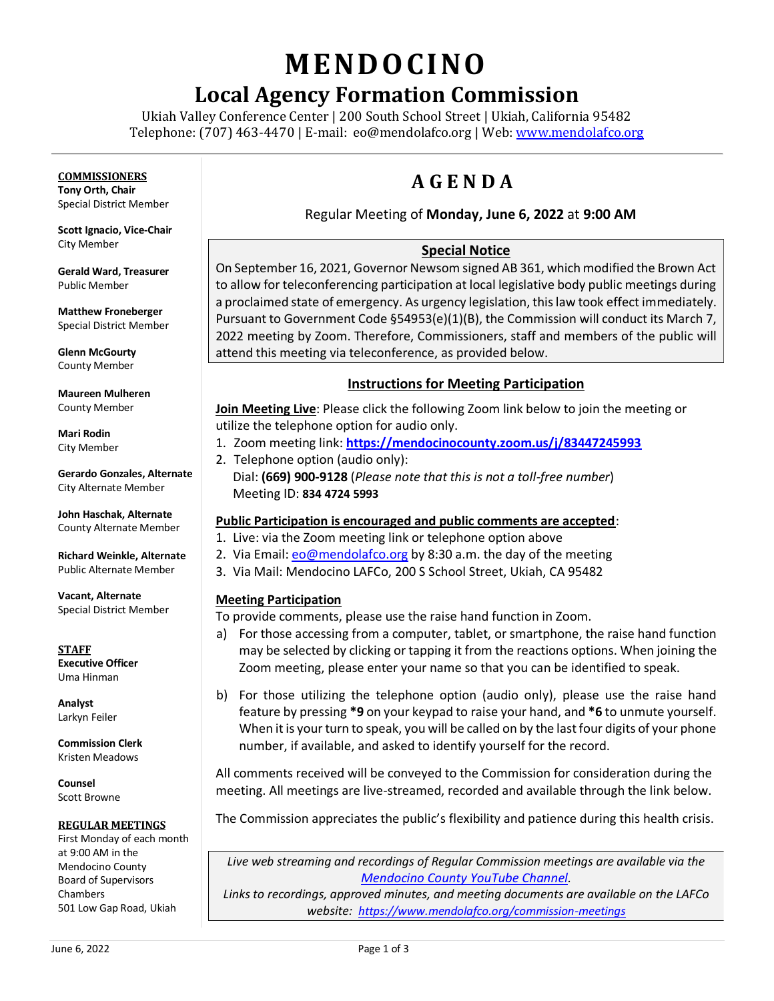# **MENDO CINO**

# **Local Agency Formation Commission**

Ukiah Valley Conference Center | 200 South School Street | Ukiah, California 95482 Telephone: (707) 463-4470 | E-mail: [eo@mendolafco.org](mailto:eo@mendolafco.org) | Web[: www.mendolafco.org](http://www.mendolafco.org/)

# **COMMISSIONERS**

**Tony Orth, Chair** Special District Member

**Scott Ignacio, Vice-Chair** City Member

**Gerald Ward, Treasurer** Public Member

**Matthew Froneberger** Special District Member

**Glenn McGourty** County Member

**Maureen Mulheren** County Member

**Mari Rodin** City Member

**Gerardo Gonzales, Alternate** City Alternate Member

**John Haschak, Alternate** County Alternate Member

**Richard Weinkle, Alternate** Public Alternate Member

**Vacant, Alternate** Special District Member

**STAFF Executive Officer** Uma Hinman

**Analyst** Larkyn Feiler

**Commission Clerk** Kristen Meadows

**Counsel** Scott Browne

#### **REGULAR MEETINGS**

First Monday of each month at 9:00 AM in the Mendocino County Board of Supervisors Chambers 501 Low Gap Road, Ukiah

# **A G E N D A**

# Regular Meeting of **Monday, June 6, 2022** at **9:00 AM**

# **Special Notice**

On September 16, 2021, Governor Newsom signed AB 361, which modified the Brown Act to allow for teleconferencing participation at local legislative body public meetings during a proclaimed state of emergency. As urgency legislation, this law took effect immediately. Pursuant to Government Code §54953(e)(1)(B), the Commission will conduct its March 7, 2022 meeting by Zoom. Therefore, Commissioners, staff and members of the public will attend this meeting via teleconference, as provided below.

# **Instructions for Meeting Participation**

**Join Meeting Live**: Please click the following Zoom link below to join the meeting or utilize the telephone option for audio only.

- 1. Zoom meeting link: **<https://mendocinocounty.zoom.us/j/83447245993>**
- 2. Telephone option (audio only): Dial: **(669) 900-9128** (*Please note that this is not a toll-free number*) Meeting ID: **834 4724 5993**

#### **Public Participation is encouraged and public comments are accepted**:

- 1. Live: via the Zoom meeting link or telephone option above
- 2. Via Email[: eo@mendolafco.org](mailto:eo@mendolafco.org) by 8:30 a.m. the day of the meeting
- 3. Via Mail: Mendocino LAFCo, 200 S School Street, Ukiah, CA 95482

#### **Meeting Participation**

To provide comments, please use the raise hand function in Zoom.

- a) For those accessing from a computer, tablet, or smartphone, the raise hand function may be selected by clicking or tapping it from the reactions options. When joining the Zoom meeting, please enter your name so that you can be identified to speak.
- b) For those utilizing the telephone option (audio only), please use the raise hand feature by pressing **\*9** on your keypad to raise your hand, and **\*6** to unmute yourself. When it is your turn to speak, you will be called on by the last four digits of your phone number, if available, and asked to identify yourself for the record.

All comments received will be conveyed to the Commission for consideration during the meeting. All meetings are live-streamed, recorded and available through the link below.

The Commission appreciates the public's flexibility and patience during this health crisis.

*Live web streaming and recordings of Regular Commission meetings are available via the [Mendocino County](http://www.youtube.com/MendocinoCountyVideo) YouTube Channel.* 

*Links to recordings, approved minutes, and meeting documents are available on the LAFCo website: <https://www.mendolafco.org/commission-meetings>*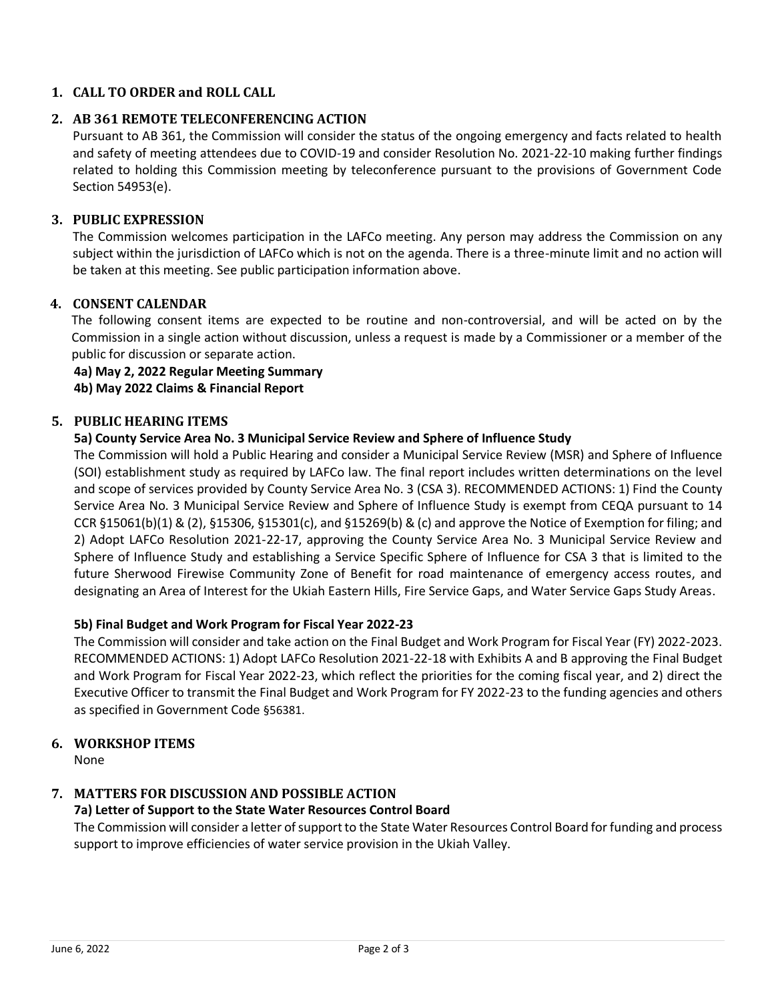# **1. CALL TO ORDER and ROLL CALL**

# **2. AB 361 REMOTE TELECONFERENCING ACTION**

Pursuant to AB 361, the Commission will consider the status of the ongoing emergency and facts related to health and safety of meeting attendees due to COVID-19 and consider Resolution No. 2021-22-10 making further findings related to holding this Commission meeting by teleconference pursuant to the provisions of Government Code Section 54953(e).

# **3. PUBLIC EXPRESSION**

The Commission welcomes participation in the LAFCo meeting. Any person may address the Commission on any subject within the jurisdiction of LAFCo which is not on the agenda. There is a three-minute limit and no action will be taken at this meeting. See public participation information above.

# **4. CONSENT CALENDAR**

The following consent items are expected to be routine and non-controversial, and will be acted on by the Commission in a single action without discussion, unless a request is made by a Commissioner or a member of the public for discussion or separate action.

#### **4a) May 2, 2022 Regular Meeting Summary**

**4b) May 2022 Claims & Financial Report**

# **5. PUBLIC HEARING ITEMS**

# **5a) County Service Area No. 3 Municipal Service Review and Sphere of Influence Study**

The Commission will hold a Public Hearing and consider a Municipal Service Review (MSR) and Sphere of Influence (SOI) establishment study as required by LAFCo law. The final report includes written determinations on the level and scope of services provided by County Service Area No. 3 (CSA 3). RECOMMENDED ACTIONS: 1) Find the County Service Area No. 3 Municipal Service Review and Sphere of Influence Study is exempt from CEQA pursuant to 14 CCR §15061(b)(1) & (2), §15306, §15301(c), and §15269(b) & (c) and approve the Notice of Exemption for filing; and 2) Adopt LAFCo Resolution 2021-22-17, approving the County Service Area No. 3 Municipal Service Review and Sphere of Influence Study and establishing a Service Specific Sphere of Influence for CSA 3 that is limited to the future Sherwood Firewise Community Zone of Benefit for road maintenance of emergency access routes, and designating an Area of Interest for the Ukiah Eastern Hills, Fire Service Gaps, and Water Service Gaps Study Areas.

#### **5b) Final Budget and Work Program for Fiscal Year 2022-23**

The Commission will consider and take action on the Final Budget and Work Program for Fiscal Year (FY) 2022-2023. RECOMMENDED ACTIONS: 1) Adopt LAFCo Resolution 2021-22-18 with Exhibits A and B approving the Final Budget and Work Program for Fiscal Year 2022-23, which reflect the priorities for the coming fiscal year, and 2) direct the Executive Officer to transmit the Final Budget and Work Program for FY 2022-23 to the funding agencies and others as specified in Government Code §56381.

# **6. WORKSHOP ITEMS**

None

# **7. MATTERS FOR DISCUSSION AND POSSIBLE ACTION**

# **7a) Letter of Support to the State Water Resources Control Board**

The Commission will consider a letter of support to the State Water Resources Control Board for funding and process support to improve efficiencies of water service provision in the Ukiah Valley.